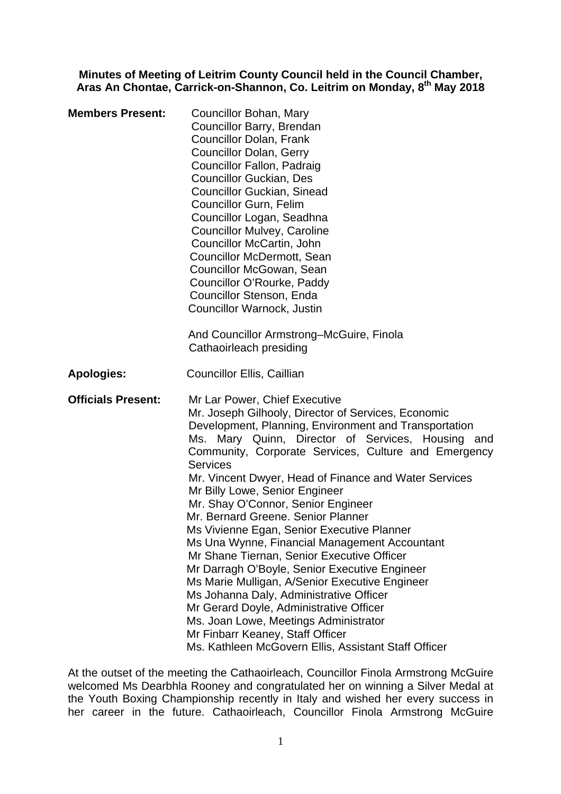**Minutes of Meeting of Leitrim County Council held in the Council Chamber, Aras An Chontae, Carrick-on-Shannon, Co. Leitrim on Monday, 8th May 2018** 

| <b>Members Present:</b>   | Councillor Bohan, Mary<br>Councillor Barry, Brendan<br><b>Councillor Dolan, Frank</b><br><b>Councillor Dolan, Gerry</b><br>Councillor Fallon, Padraig<br><b>Councillor Guckian, Des</b><br><b>Councillor Guckian, Sinead</b><br><b>Councillor Gurn, Felim</b><br>Councillor Logan, Seadhna<br><b>Councillor Mulvey, Caroline</b><br>Councillor McCartin, John<br><b>Councillor McDermott, Sean</b><br>Councillor McGowan, Sean<br>Councillor O'Rourke, Paddy<br>Councillor Stenson, Enda<br>Councillor Warnock, Justin<br>And Councillor Armstrong–McGuire, Finola                                                                                                                                                                                                                                                                                                                                                              |
|---------------------------|---------------------------------------------------------------------------------------------------------------------------------------------------------------------------------------------------------------------------------------------------------------------------------------------------------------------------------------------------------------------------------------------------------------------------------------------------------------------------------------------------------------------------------------------------------------------------------------------------------------------------------------------------------------------------------------------------------------------------------------------------------------------------------------------------------------------------------------------------------------------------------------------------------------------------------|
|                           | Cathaoirleach presiding<br><b>Councillor Ellis, Caillian</b>                                                                                                                                                                                                                                                                                                                                                                                                                                                                                                                                                                                                                                                                                                                                                                                                                                                                    |
| <b>Apologies:</b>         |                                                                                                                                                                                                                                                                                                                                                                                                                                                                                                                                                                                                                                                                                                                                                                                                                                                                                                                                 |
| <b>Officials Present:</b> | Mr Lar Power, Chief Executive<br>Mr. Joseph Gilhooly, Director of Services, Economic<br>Development, Planning, Environment and Transportation<br>Ms. Mary Quinn, Director of Services, Housing and<br>Community, Corporate Services, Culture and Emergency<br><b>Services</b><br>Mr. Vincent Dwyer, Head of Finance and Water Services<br>Mr Billy Lowe, Senior Engineer<br>Mr. Shay O'Connor, Senior Engineer<br>Mr. Bernard Greene. Senior Planner<br>Ms Vivienne Egan, Senior Executive Planner<br>Ms Una Wynne, Financial Management Accountant<br>Mr Shane Tiernan, Senior Executive Officer<br>Mr Darragh O'Boyle, Senior Executive Engineer<br>Ms Marie Mulligan, A/Senior Executive Engineer<br>Ms Johanna Daly, Administrative Officer<br>Mr Gerard Doyle, Administrative Officer<br>Ms. Joan Lowe, Meetings Administrator<br>Mr Finbarr Keaney, Staff Officer<br>Ms. Kathleen McGovern Ellis, Assistant Staff Officer |

At the outset of the meeting the Cathaoirleach, Councillor Finola Armstrong McGuire welcomed Ms Dearbhla Rooney and congratulated her on winning a Silver Medal at the Youth Boxing Championship recently in Italy and wished her every success in her career in the future. Cathaoirleach, Councillor Finola Armstrong McGuire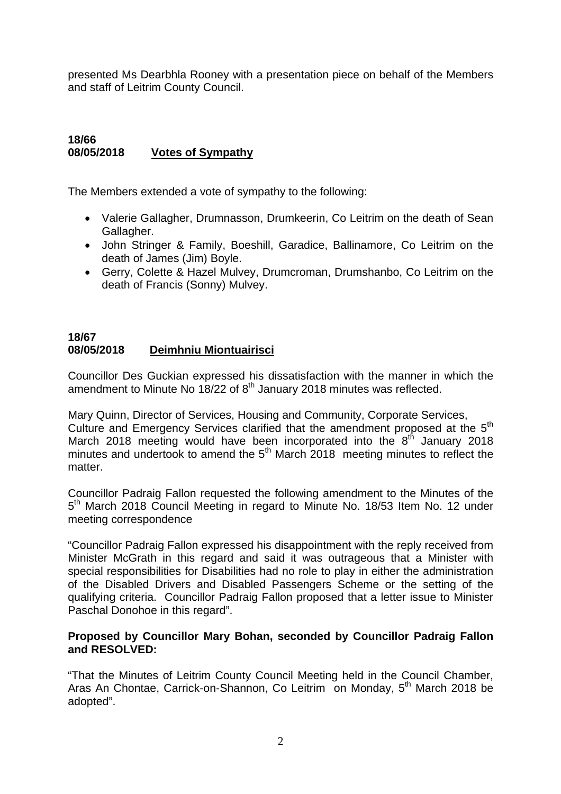presented Ms Dearbhla Rooney with a presentation piece on behalf of the Members and staff of Leitrim County Council.

#### **18/66 08/05/2018 Votes of Sympathy**

The Members extended a vote of sympathy to the following:

- Valerie Gallagher, Drumnasson, Drumkeerin, Co Leitrim on the death of Sean Gallagher.
- John Stringer & Family, Boeshill, Garadice, Ballinamore, Co Leitrim on the death of James (Jim) Boyle.
- Gerry, Colette & Hazel Mulvey, Drumcroman, Drumshanbo, Co Leitrim on the death of Francis (Sonny) Mulvey.

## **18/67 08/05/2018 Deimhniu Miontuairisci**

Councillor Des Guckian expressed his dissatisfaction with the manner in which the amendment to Minute No  $18/22$  of  $8<sup>th</sup>$  January 2018 minutes was reflected.

Mary Quinn, Director of Services, Housing and Community, Corporate Services, Culture and Emergency Services clarified that the amendment proposed at the  $5<sup>th</sup>$ March 2018 meeting would have been incorporated into the  $8<sup>th</sup>$  January 2018 minutes and undertook to amend the 5<sup>th</sup> March 2018 meeting minutes to reflect the matter.

Councillor Padraig Fallon requested the following amendment to the Minutes of the 5<sup>th</sup> March 2018 Council Meeting in regard to Minute No. 18/53 Item No. 12 under meeting correspondence

"Councillor Padraig Fallon expressed his disappointment with the reply received from Minister McGrath in this regard and said it was outrageous that a Minister with special responsibilities for Disabilities had no role to play in either the administration of the Disabled Drivers and Disabled Passengers Scheme or the setting of the qualifying criteria. Councillor Padraig Fallon proposed that a letter issue to Minister Paschal Donohoe in this regard".

## **Proposed by Councillor Mary Bohan, seconded by Councillor Padraig Fallon and RESOLVED:**

"That the Minutes of Leitrim County Council Meeting held in the Council Chamber, Aras An Chontae, Carrick-on-Shannon, Co Leitrim on Monday, 5<sup>th</sup> March 2018 be adopted".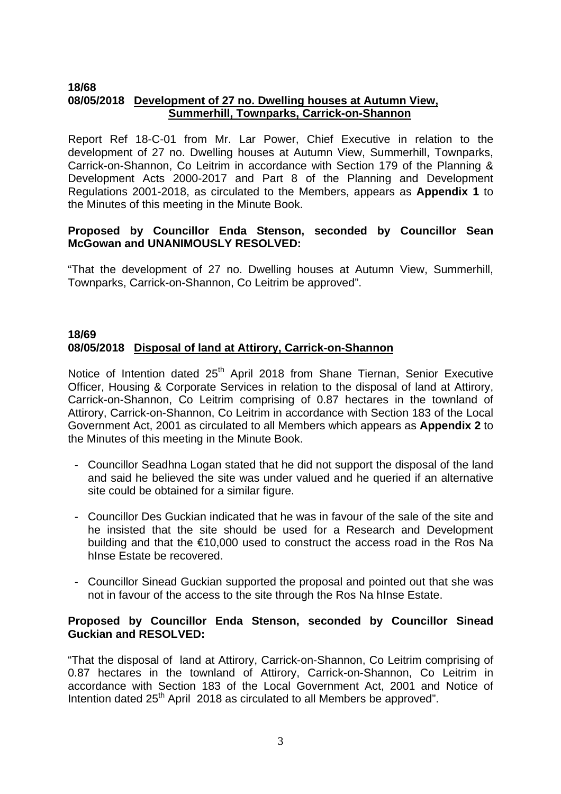#### **18/68 08/05/2018 Development of 27 no. Dwelling houses at Autumn View, Summerhill, Townparks, Carrick-on-Shannon**

Report Ref 18-C-01 from Mr. Lar Power, Chief Executive in relation to the development of 27 no. Dwelling houses at Autumn View, Summerhill, Townparks, Carrick-on-Shannon, Co Leitrim in accordance with Section 179 of the Planning & Development Acts 2000-2017 and Part 8 of the Planning and Development Regulations 2001-2018, as circulated to the Members, appears as **Appendix 1** to the Minutes of this meeting in the Minute Book.

## **Proposed by Councillor Enda Stenson, seconded by Councillor Sean McGowan and UNANIMOUSLY RESOLVED:**

"That the development of 27 no. Dwelling houses at Autumn View, Summerhill, Townparks, Carrick-on-Shannon, Co Leitrim be approved".

## **18/69 08/05/2018 Disposal of land at Attirory, Carrick-on-Shannon**

Notice of Intention dated 25<sup>th</sup> April 2018 from Shane Tiernan, Senior Executive Officer, Housing & Corporate Services in relation to the disposal of land at Attirory, Carrick-on-Shannon, Co Leitrim comprising of 0.87 hectares in the townland of Attirory, Carrick-on-Shannon, Co Leitrim in accordance with Section 183 of the Local Government Act, 2001 as circulated to all Members which appears as **Appendix 2** to the Minutes of this meeting in the Minute Book.

- Councillor Seadhna Logan stated that he did not support the disposal of the land and said he believed the site was under valued and he queried if an alternative site could be obtained for a similar figure.
- Councillor Des Guckian indicated that he was in favour of the sale of the site and he insisted that the site should be used for a Research and Development building and that the €10,000 used to construct the access road in the Ros Na hInse Estate be recovered.
- Councillor Sinead Guckian supported the proposal and pointed out that she was not in favour of the access to the site through the Ros Na hInse Estate.

#### **Proposed by Councillor Enda Stenson, seconded by Councillor Sinead Guckian and RESOLVED:**

"That the disposal of land at Attirory, Carrick-on-Shannon, Co Leitrim comprising of 0.87 hectares in the townland of Attirory, Carrick-on-Shannon, Co Leitrim in accordance with Section 183 of the Local Government Act, 2001 and Notice of Intention dated 25<sup>th</sup> April 2018 as circulated to all Members be approved".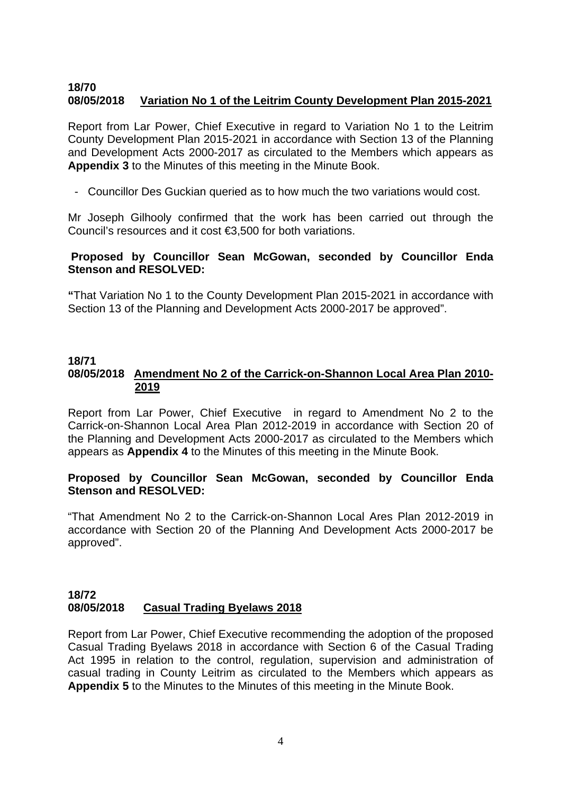## **18/70 08/05/2018 Variation No 1 of the Leitrim County Development Plan 2015-2021**

Report from Lar Power, Chief Executive in regard to Variation No 1 to the Leitrim County Development Plan 2015-2021 in accordance with Section 13 of the Planning and Development Acts 2000-2017 as circulated to the Members which appears as **Appendix 3** to the Minutes of this meeting in the Minute Book.

- Councillor Des Guckian queried as to how much the two variations would cost.

Mr Joseph Gilhooly confirmed that the work has been carried out through the Council's resources and it cost €3,500 for both variations.

## **Proposed by Councillor Sean McGowan, seconded by Councillor Enda Stenson and RESOLVED:**

**"**That Variation No 1 to the County Development Plan 2015-2021 in accordance with Section 13 of the Planning and Development Acts 2000-2017 be approved".

## **18/71 08/05/2018 Amendment No 2 of the Carrick-on-Shannon Local Area Plan 2010- 2019**

Report from Lar Power, Chief Executive in regard to Amendment No 2 to the Carrick-on-Shannon Local Area Plan 2012-2019 in accordance with Section 20 of the Planning and Development Acts 2000-2017 as circulated to the Members which appears as **Appendix 4** to the Minutes of this meeting in the Minute Book.

## **Proposed by Councillor Sean McGowan, seconded by Councillor Enda Stenson and RESOLVED:**

"That Amendment No 2 to the Carrick-on-Shannon Local Ares Plan 2012-2019 in accordance with Section 20 of the Planning And Development Acts 2000-2017 be approved".

## **18/72 08/05/2018 Casual Trading Byelaws 2018**

Report from Lar Power, Chief Executive recommending the adoption of the proposed Casual Trading Byelaws 2018 in accordance with Section 6 of the Casual Trading Act 1995 in relation to the control, regulation, supervision and administration of casual trading in County Leitrim as circulated to the Members which appears as **Appendix 5** to the Minutes to the Minutes of this meeting in the Minute Book.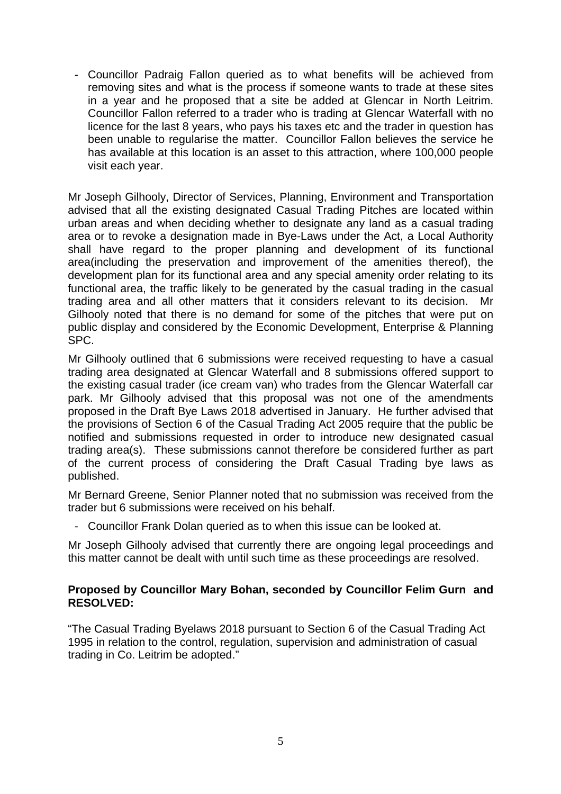- Councillor Padraig Fallon queried as to what benefits will be achieved from removing sites and what is the process if someone wants to trade at these sites in a year and he proposed that a site be added at Glencar in North Leitrim. Councillor Fallon referred to a trader who is trading at Glencar Waterfall with no licence for the last 8 years, who pays his taxes etc and the trader in question has been unable to regularise the matter. Councillor Fallon believes the service he has available at this location is an asset to this attraction, where 100,000 people visit each year.

Mr Joseph Gilhooly, Director of Services, Planning, Environment and Transportation advised that all the existing designated Casual Trading Pitches are located within urban areas and when deciding whether to designate any land as a casual trading area or to revoke a designation made in Bye-Laws under the Act, a Local Authority shall have regard to the proper planning and development of its functional area(including the preservation and improvement of the amenities thereof), the development plan for its functional area and any special amenity order relating to its functional area, the traffic likely to be generated by the casual trading in the casual trading area and all other matters that it considers relevant to its decision. Mr Gilhooly noted that there is no demand for some of the pitches that were put on public display and considered by the Economic Development, Enterprise & Planning SPC.

Mr Gilhooly outlined that 6 submissions were received requesting to have a casual trading area designated at Glencar Waterfall and 8 submissions offered support to the existing casual trader (ice cream van) who trades from the Glencar Waterfall car park. Mr Gilhooly advised that this proposal was not one of the amendments proposed in the Draft Bye Laws 2018 advertised in January. He further advised that the provisions of Section 6 of the Casual Trading Act 2005 require that the public be notified and submissions requested in order to introduce new designated casual trading area(s). These submissions cannot therefore be considered further as part of the current process of considering the Draft Casual Trading bye laws as published.

Mr Bernard Greene, Senior Planner noted that no submission was received from the trader but 6 submissions were received on his behalf.

- Councillor Frank Dolan queried as to when this issue can be looked at.

Mr Joseph Gilhooly advised that currently there are ongoing legal proceedings and this matter cannot be dealt with until such time as these proceedings are resolved.

## **Proposed by Councillor Mary Bohan, seconded by Councillor Felim Gurn and RESOLVED:**

"The Casual Trading Byelaws 2018 pursuant to Section 6 of the Casual Trading Act 1995 in relation to the control, regulation, supervision and administration of casual trading in Co. Leitrim be adopted."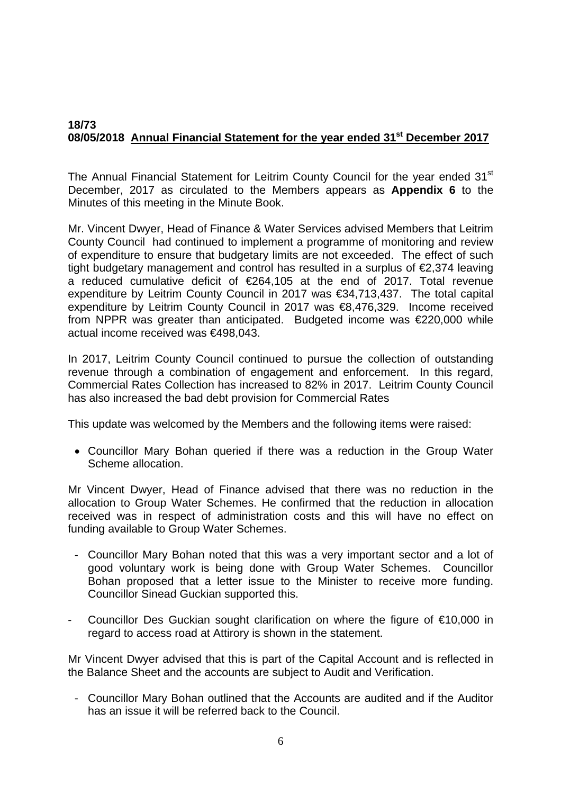## **18/73 08/05/2018 Annual Financial Statement for the year ended 31st December 2017**

The Annual Financial Statement for Leitrim County Council for the year ended 31<sup>st</sup> December, 2017 as circulated to the Members appears as **Appendix 6** to the Minutes of this meeting in the Minute Book.

Mr. Vincent Dwyer, Head of Finance & Water Services advised Members that Leitrim County Council had continued to implement a programme of monitoring and review of expenditure to ensure that budgetary limits are not exceeded. The effect of such tight budgetary management and control has resulted in a surplus of €2,374 leaving a reduced cumulative deficit of €264,105 at the end of 2017. Total revenue expenditure by Leitrim County Council in 2017 was €34,713,437. The total capital expenditure by Leitrim County Council in 2017 was €8,476,329. Income received from NPPR was greater than anticipated. Budgeted income was  $\epsilon$ 220,000 while actual income received was €498,043.

In 2017, Leitrim County Council continued to pursue the collection of outstanding revenue through a combination of engagement and enforcement. In this regard, Commercial Rates Collection has increased to 82% in 2017. Leitrim County Council has also increased the bad debt provision for Commercial Rates

This update was welcomed by the Members and the following items were raised:

• Councillor Mary Bohan queried if there was a reduction in the Group Water Scheme allocation.

Mr Vincent Dwyer, Head of Finance advised that there was no reduction in the allocation to Group Water Schemes. He confirmed that the reduction in allocation received was in respect of administration costs and this will have no effect on funding available to Group Water Schemes.

- Councillor Mary Bohan noted that this was a very important sector and a lot of good voluntary work is being done with Group Water Schemes. Councillor Bohan proposed that a letter issue to the Minister to receive more funding. Councillor Sinead Guckian supported this.
- Councillor Des Guckian sought clarification on where the figure of €10,000 in regard to access road at Attirory is shown in the statement.

Mr Vincent Dwyer advised that this is part of the Capital Account and is reflected in the Balance Sheet and the accounts are subject to Audit and Verification.

- Councillor Mary Bohan outlined that the Accounts are audited and if the Auditor has an issue it will be referred back to the Council.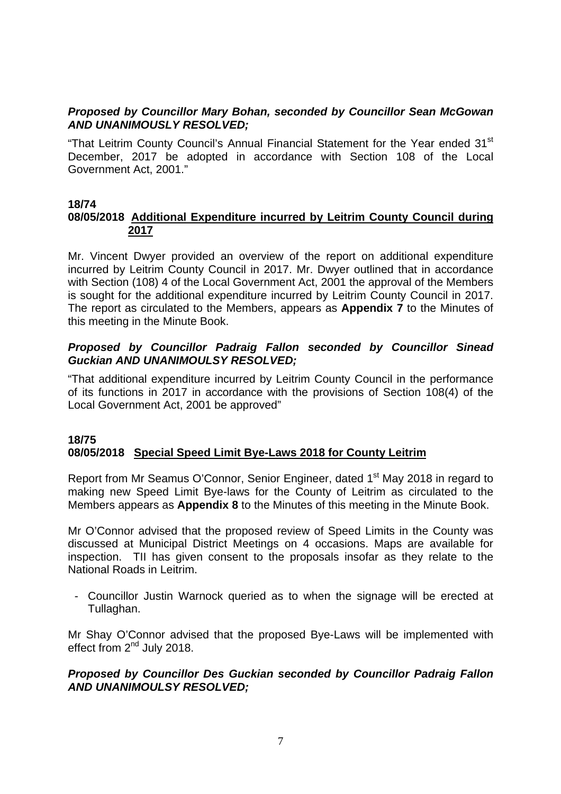## *Proposed by Councillor Mary Bohan, seconded by Councillor Sean McGowan AND UNANIMOUSLY RESOLVED;*

"That Leitrim County Council's Annual Financial Statement for the Year ended 31<sup>st</sup> December, 2017 be adopted in accordance with Section 108 of the Local Government Act, 2001."

## **18/74**

## **08/05/2018 Additional Expenditure incurred by Leitrim County Council during 2017**

Mr. Vincent Dwyer provided an overview of the report on additional expenditure incurred by Leitrim County Council in 2017. Mr. Dwyer outlined that in accordance with Section (108) 4 of the Local Government Act, 2001 the approval of the Members is sought for the additional expenditure incurred by Leitrim County Council in 2017. The report as circulated to the Members, appears as **Appendix 7** to the Minutes of this meeting in the Minute Book.

## *Proposed by Councillor Padraig Fallon seconded by Councillor Sinead Guckian AND UNANIMOULSY RESOLVED;*

"That additional expenditure incurred by Leitrim County Council in the performance of its functions in 2017 in accordance with the provisions of Section 108(4) of the Local Government Act, 2001 be approved"

## **18/75 08/05/2018 Special Speed Limit Bye-Laws 2018 for County Leitrim**

Report from Mr Seamus O'Connor, Senior Engineer, dated 1<sup>st</sup> May 2018 in regard to making new Speed Limit Bye-laws for the County of Leitrim as circulated to the Members appears as **Appendix 8** to the Minutes of this meeting in the Minute Book.

Mr O'Connor advised that the proposed review of Speed Limits in the County was discussed at Municipal District Meetings on 4 occasions. Maps are available for inspection. TII has given consent to the proposals insofar as they relate to the National Roads in Leitrim.

- Councillor Justin Warnock queried as to when the signage will be erected at Tullaghan.

Mr Shay O'Connor advised that the proposed Bye-Laws will be implemented with effect from 2<sup>nd</sup> July 2018.

## *Proposed by Councillor Des Guckian seconded by Councillor Padraig Fallon AND UNANIMOULSY RESOLVED;*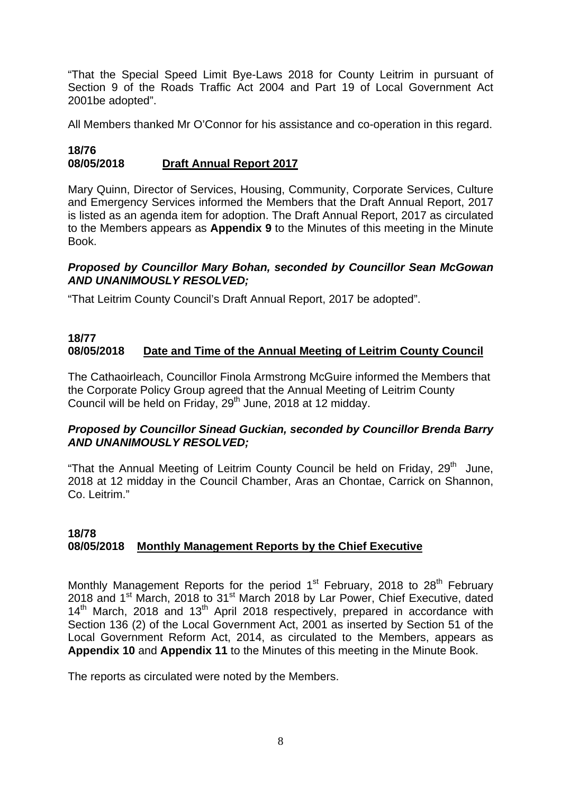"That the Special Speed Limit Bye-Laws 2018 for County Leitrim in pursuant of Section 9 of the Roads Traffic Act 2004 and Part 19 of Local Government Act 2001be adopted".

All Members thanked Mr O'Connor for his assistance and co-operation in this regard.

## **18/76 08/05/2018 Draft Annual Report 2017**

Mary Quinn, Director of Services, Housing, Community, Corporate Services, Culture and Emergency Services informed the Members that the Draft Annual Report, 2017 is listed as an agenda item for adoption. The Draft Annual Report, 2017 as circulated to the Members appears as **Appendix 9** to the Minutes of this meeting in the Minute Book.

## *Proposed by Councillor Mary Bohan, seconded by Councillor Sean McGowan AND UNANIMOUSLY RESOLVED;*

"That Leitrim County Council's Draft Annual Report, 2017 be adopted".

#### **18/77 08/05/2018 Date and Time of the Annual Meeting of Leitrim County Council**

The Cathaoirleach, Councillor Finola Armstrong McGuire informed the Members that the Corporate Policy Group agreed that the Annual Meeting of Leitrim County Council will be held on Friday, 29<sup>th</sup> June, 2018 at 12 midday.

## *Proposed by Councillor Sinead Guckian, seconded by Councillor Brenda Barry AND UNANIMOUSLY RESOLVED;*

"That the Annual Meeting of Leitrim County Council be held on Friday,  $29<sup>th</sup>$  June, 2018 at 12 midday in the Council Chamber, Aras an Chontae, Carrick on Shannon, Co. Leitrim."

## **18/78 08/05/2018 Monthly Management Reports by the Chief Executive**

Monthly Management Reports for the period  $1<sup>st</sup>$  February, 2018 to 28<sup>th</sup> February 2018 and 1<sup>st</sup> March, 2018 to 31<sup>st</sup> March 2018 by Lar Power, Chief Executive, dated 14<sup>th</sup> March, 2018 and 13<sup>th</sup> April 2018 respectively, prepared in accordance with Section 136 (2) of the Local Government Act, 2001 as inserted by Section 51 of the Local Government Reform Act, 2014, as circulated to the Members, appears as **Appendix 10** and **Appendix 11** to the Minutes of this meeting in the Minute Book.

The reports as circulated were noted by the Members.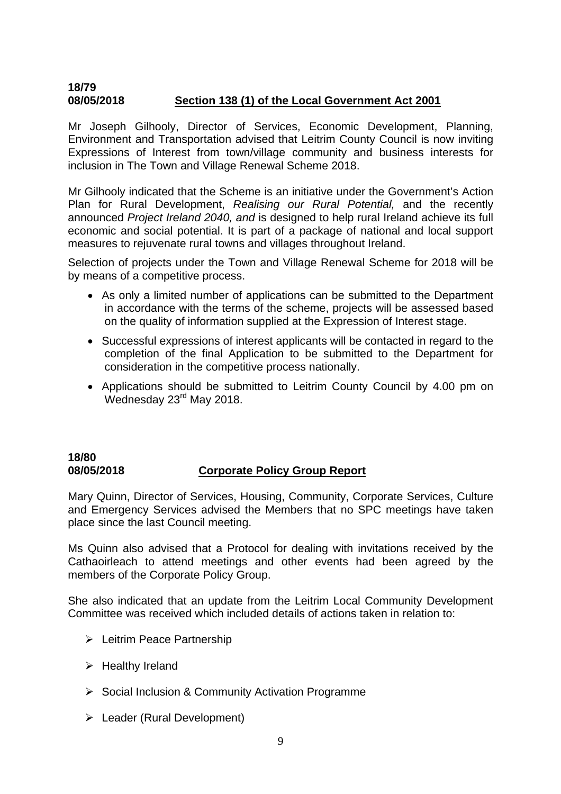## **18/79 08/05/2018 Section 138 (1) of the Local Government Act 2001**

Mr Joseph Gilhooly, Director of Services, Economic Development, Planning, Environment and Transportation advised that Leitrim County Council is now inviting Expressions of Interest from town/village community and business interests for inclusion in The Town and Village Renewal Scheme 2018.

Mr Gilhooly indicated that the Scheme is an initiative under the Government's Action Plan for Rural Development, *Realising our Rural Potential,* and the recently announced *Project Ireland 2040, and* is designed to help rural Ireland achieve its full economic and social potential. It is part of a package of national and local support measures to rejuvenate rural towns and villages throughout Ireland.

Selection of projects under the Town and Village Renewal Scheme for 2018 will be by means of a competitive process.

- As only a limited number of applications can be submitted to the Department in accordance with the terms of the scheme, projects will be assessed based on the quality of information supplied at the Expression of Interest stage.
- Successful expressions of interest applicants will be contacted in regard to the completion of the final Application to be submitted to the Department for consideration in the competitive process nationally.
- Applications should be submitted to Leitrim County Council by 4.00 pm on  $W$ ednesday 23 $<sup>rd</sup>$  May 2018.</sup>

## **18/80 08/05/2018 Corporate Policy Group Report**

Mary Quinn, Director of Services, Housing, Community, Corporate Services, Culture and Emergency Services advised the Members that no SPC meetings have taken place since the last Council meeting.

Ms Quinn also advised that a Protocol for dealing with invitations received by the Cathaoirleach to attend meetings and other events had been agreed by the members of the Corporate Policy Group.

She also indicated that an update from the Leitrim Local Community Development Committee was received which included details of actions taken in relation to:

- ¾ Leitrim Peace Partnership
- $\triangleright$  Healthy Ireland
- $\triangleright$  Social Inclusion & Community Activation Programme
- $\triangleright$  Leader (Rural Development)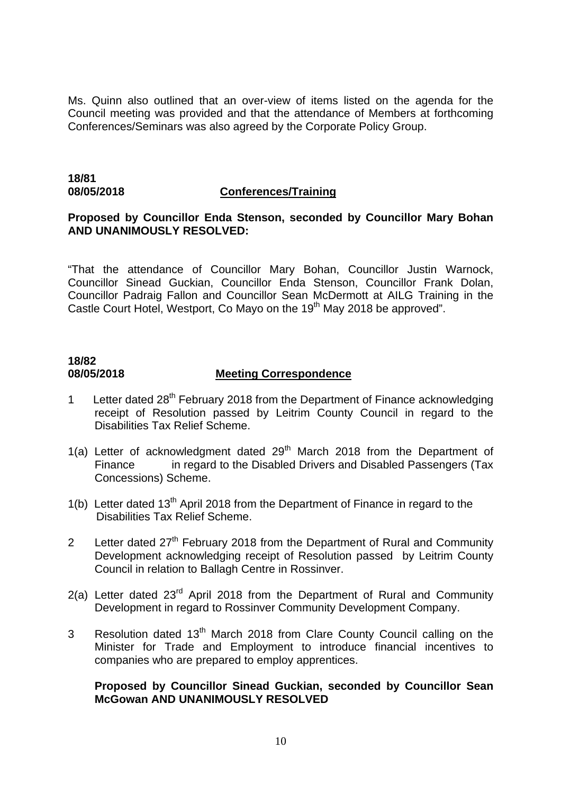Ms. Quinn also outlined that an over-view of items listed on the agenda for the Council meeting was provided and that the attendance of Members at forthcoming Conferences/Seminars was also agreed by the Corporate Policy Group.

## **18/81**

#### **08/05/2018 Conferences/Training**

#### **Proposed by Councillor Enda Stenson, seconded by Councillor Mary Bohan AND UNANIMOUSLY RESOLVED:**

"That the attendance of Councillor Mary Bohan, Councillor Justin Warnock, Councillor Sinead Guckian, Councillor Enda Stenson, Councillor Frank Dolan, Councillor Padraig Fallon and Councillor Sean McDermott at AILG Training in the Castle Court Hotel, Westport, Co Mayo on the 19<sup>th</sup> May 2018 be approved".

## **18/82 08/05/2018 Meeting Correspondence**

- 1 Letter dated 28<sup>th</sup> February 2018 from the Department of Finance acknowledging receipt of Resolution passed by Leitrim County Council in regard to the Disabilities Tax Relief Scheme.
- 1(a) Letter of acknowledgment dated  $29<sup>th</sup>$  March 2018 from the Department of Finance in regard to the Disabled Drivers and Disabled Passengers (Tax Concessions) Scheme.
- 1(b) Letter dated  $13<sup>th</sup>$  April 2018 from the Department of Finance in regard to the Disabilities Tax Relief Scheme.
- 2 Letter dated 27<sup>th</sup> February 2018 from the Department of Rural and Community Development acknowledging receipt of Resolution passed by Leitrim County Council in relation to Ballagh Centre in Rossinver.
- 2(a) Letter dated  $23<sup>rd</sup>$  April 2018 from the Department of Rural and Community Development in regard to Rossinver Community Development Company.
- 3 Resolution dated 13<sup>th</sup> March 2018 from Clare County Council calling on the Minister for Trade and Employment to introduce financial incentives to companies who are prepared to employ apprentices.

## **Proposed by Councillor Sinead Guckian, seconded by Councillor Sean McGowan AND UNANIMOUSLY RESOLVED**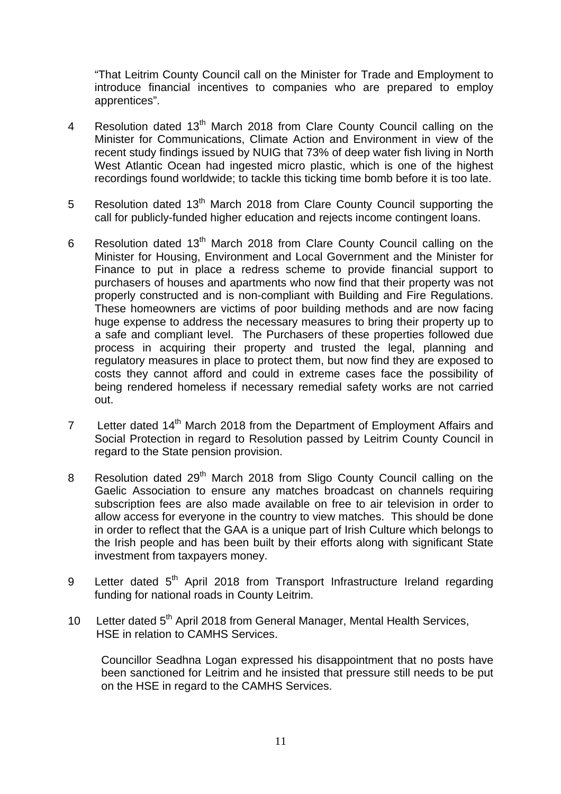"That Leitrim County Council call on the Minister for Trade and Employment to introduce financial incentives to companies who are prepared to employ apprentices".

- 4 Resolution dated 13<sup>th</sup> March 2018 from Clare County Council calling on the Minister for Communications, Climate Action and Environment in view of the recent study findings issued by NUIG that 73% of deep water fish living in North West Atlantic Ocean had ingested micro plastic, which is one of the highest recordings found worldwide; to tackle this ticking time bomb before it is too late.
- 5 Resolution dated 13<sup>th</sup> March 2018 from Clare County Council supporting the call for publicly-funded higher education and rejects income contingent loans.
- 6 Resolution dated  $13<sup>th</sup>$  March 2018 from Clare County Council calling on the Minister for Housing, Environment and Local Government and the Minister for Finance to put in place a redress scheme to provide financial support to purchasers of houses and apartments who now find that their property was not properly constructed and is non-compliant with Building and Fire Regulations. These homeowners are victims of poor building methods and are now facing huge expense to address the necessary measures to bring their property up to a safe and compliant level. The Purchasers of these properties followed due process in acquiring their property and trusted the legal, planning and regulatory measures in place to protect them, but now find they are exposed to costs they cannot afford and could in extreme cases face the possibility of being rendered homeless if necessary remedial safety works are not carried out.
- 7 Letter dated 14<sup>th</sup> March 2018 from the Department of Employment Affairs and Social Protection in regard to Resolution passed by Leitrim County Council in regard to the State pension provision.
- 8 Resolution dated 29<sup>th</sup> March 2018 from Sligo County Council calling on the Gaelic Association to ensure any matches broadcast on channels requiring subscription fees are also made available on free to air television in order to allow access for everyone in the country to view matches. This should be done in order to reflect that the GAA is a unique part of Irish Culture which belongs to the Irish people and has been built by their efforts along with significant State investment from taxpayers money.
- 9 Letter dated 5<sup>th</sup> April 2018 from Transport Infrastructure Ireland regarding funding for national roads in County Leitrim.
- 10 Letter dated 5<sup>th</sup> April 2018 from General Manager, Mental Health Services, HSE in relation to CAMHS Services.

Councillor Seadhna Logan expressed his disappointment that no posts have been sanctioned for Leitrim and he insisted that pressure still needs to be put on the HSE in regard to the CAMHS Services.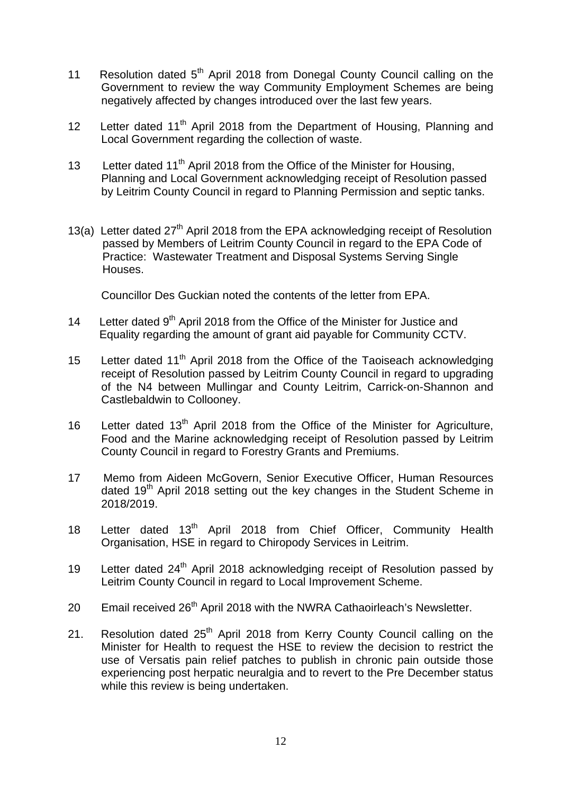- 11 Resolution dated 5<sup>th</sup> April 2018 from Donegal County Council calling on the Government to review the way Community Employment Schemes are being negatively affected by changes introduced over the last few years.
- 12 Letter dated  $11<sup>th</sup>$  April 2018 from the Department of Housing, Planning and Local Government regarding the collection of waste.
- 13 Letter dated 11<sup>th</sup> April 2018 from the Office of the Minister for Housing, Planning and Local Government acknowledging receipt of Resolution passed by Leitrim County Council in regard to Planning Permission and septic tanks.
- 13(a) Letter dated  $27<sup>th</sup>$  April 2018 from the EPA acknowledging receipt of Resolution passed by Members of Leitrim County Council in regard to the EPA Code of Practice: Wastewater Treatment and Disposal Systems Serving Single Houses.

Councillor Des Guckian noted the contents of the letter from EPA.

- 14 Letter dated  $9<sup>th</sup>$  April 2018 from the Office of the Minister for Justice and Equality regarding the amount of grant aid payable for Community CCTV.
- 15 Letter dated  $11<sup>th</sup>$  April 2018 from the Office of the Taoiseach acknowledging receipt of Resolution passed by Leitrim County Council in regard to upgrading of the N4 between Mullingar and County Leitrim, Carrick-on-Shannon and Castlebaldwin to Collooney.
- 16 Letter dated 13<sup>th</sup> April 2018 from the Office of the Minister for Agriculture, Food and the Marine acknowledging receipt of Resolution passed by Leitrim County Council in regard to Forestry Grants and Premiums.
- 17 Memo from Aideen McGovern, Senior Executive Officer, Human Resources dated 19<sup>th</sup> April 2018 setting out the key changes in the Student Scheme in 2018/2019.
- 18 Letter dated 13<sup>th</sup> April 2018 from Chief Officer, Community Health Organisation, HSE in regard to Chiropody Services in Leitrim.
- 19 Letter dated  $24<sup>th</sup>$  April 2018 acknowledging receipt of Resolution passed by Leitrim County Council in regard to Local Improvement Scheme.
- 20 Email received 26<sup>th</sup> April 2018 with the NWRA Cathaoirleach's Newsletter.
- 21. Resolution dated 25<sup>th</sup> April 2018 from Kerry County Council calling on the Minister for Health to request the HSE to review the decision to restrict the use of Versatis pain relief patches to publish in chronic pain outside those experiencing post herpatic neuralgia and to revert to the Pre December status while this review is being undertaken.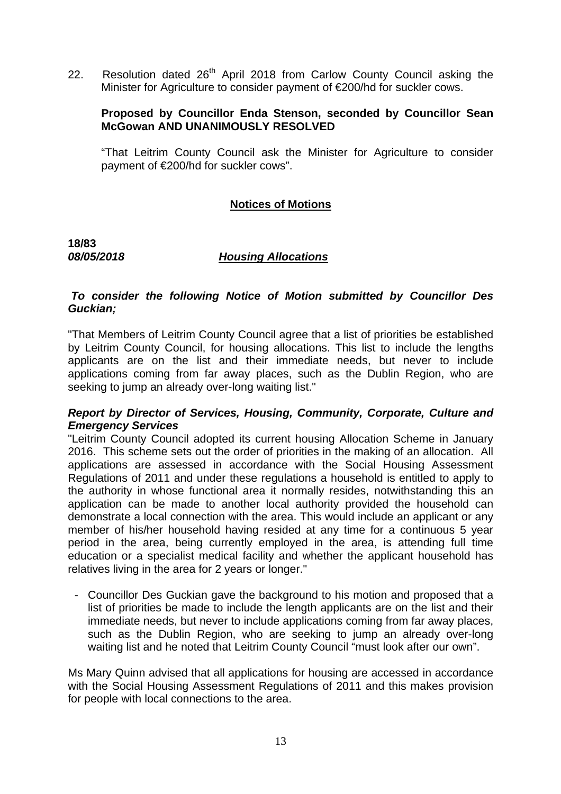22. Resolution dated 26<sup>th</sup> April 2018 from Carlow County Council asking the Minister for Agriculture to consider payment of €200/hd for suckler cows.

## **Proposed by Councillor Enda Stenson, seconded by Councillor Sean McGowan AND UNANIMOUSLY RESOLVED**

"That Leitrim County Council ask the Minister for Agriculture to consider payment of €200/hd for suckler cows".

## **Notices of Motions**

**18/83** 

#### *08/05/2018 Housing Allocations*

## *To consider the following Notice of Motion submitted by Councillor Des Guckian;*

"That Members of Leitrim County Council agree that a list of priorities be established by Leitrim County Council, for housing allocations. This list to include the lengths applicants are on the list and their immediate needs, but never to include applications coming from far away places, such as the Dublin Region, who are seeking to jump an already over-long waiting list."

#### *Report by Director of Services, Housing, Community, Corporate, Culture and Emergency Services*

"Leitrim County Council adopted its current housing Allocation Scheme in January 2016. This scheme sets out the order of priorities in the making of an allocation. All applications are assessed in accordance with the Social Housing Assessment Regulations of 2011 and under these regulations a household is entitled to apply to the authority in whose functional area it normally resides, notwithstanding this an application can be made to another local authority provided the household can demonstrate a local connection with the area. This would include an applicant or any member of his/her household having resided at any time for a continuous 5 year period in the area, being currently employed in the area, is attending full time education or a specialist medical facility and whether the applicant household has relatives living in the area for 2 years or longer."

- Councillor Des Guckian gave the background to his motion and proposed that a list of priorities be made to include the length applicants are on the list and their immediate needs, but never to include applications coming from far away places, such as the Dublin Region, who are seeking to jump an already over-long waiting list and he noted that Leitrim County Council "must look after our own".

Ms Mary Quinn advised that all applications for housing are accessed in accordance with the Social Housing Assessment Regulations of 2011 and this makes provision for people with local connections to the area.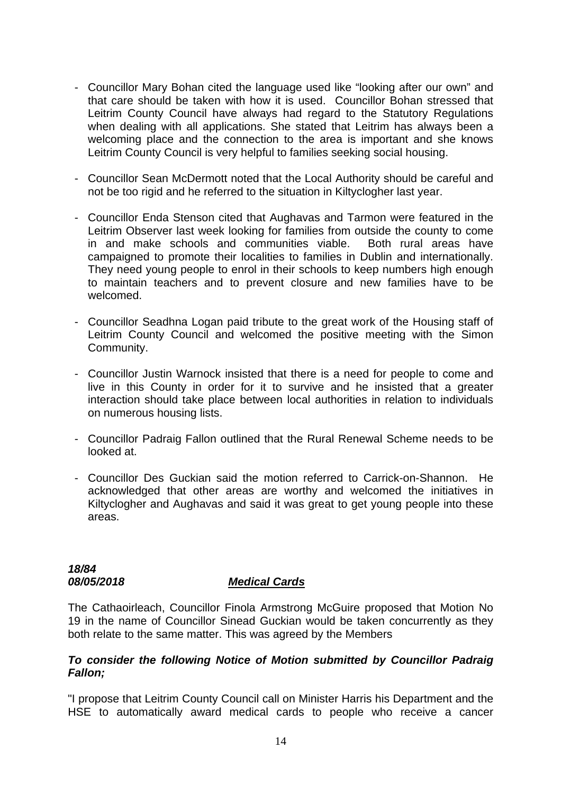- Councillor Mary Bohan cited the language used like "looking after our own" and that care should be taken with how it is used. Councillor Bohan stressed that Leitrim County Council have always had regard to the Statutory Regulations when dealing with all applications. She stated that Leitrim has always been a welcoming place and the connection to the area is important and she knows Leitrim County Council is very helpful to families seeking social housing.
- Councillor Sean McDermott noted that the Local Authority should be careful and not be too rigid and he referred to the situation in Kiltyclogher last year.
- Councillor Enda Stenson cited that Aughavas and Tarmon were featured in the Leitrim Observer last week looking for families from outside the county to come in and make schools and communities viable. Both rural areas have campaigned to promote their localities to families in Dublin and internationally. They need young people to enrol in their schools to keep numbers high enough to maintain teachers and to prevent closure and new families have to be welcomed.
- Councillor Seadhna Logan paid tribute to the great work of the Housing staff of Leitrim County Council and welcomed the positive meeting with the Simon Community.
- Councillor Justin Warnock insisted that there is a need for people to come and live in this County in order for it to survive and he insisted that a greater interaction should take place between local authorities in relation to individuals on numerous housing lists.
- Councillor Padraig Fallon outlined that the Rural Renewal Scheme needs to be looked at.
- Councillor Des Guckian said the motion referred to Carrick-on-Shannon. He acknowledged that other areas are worthy and welcomed the initiatives in Kiltyclogher and Aughavas and said it was great to get young people into these areas.

# *18/84*

## *08/05/2018 Medical Cards*

The Cathaoirleach, Councillor Finola Armstrong McGuire proposed that Motion No 19 in the name of Councillor Sinead Guckian would be taken concurrently as they both relate to the same matter. This was agreed by the Members

#### *To consider the following Notice of Motion submitted by Councillor Padraig Fallon;*

"I propose that Leitrim County Council call on Minister Harris his Department and the HSE to automatically award medical cards to people who receive a cancer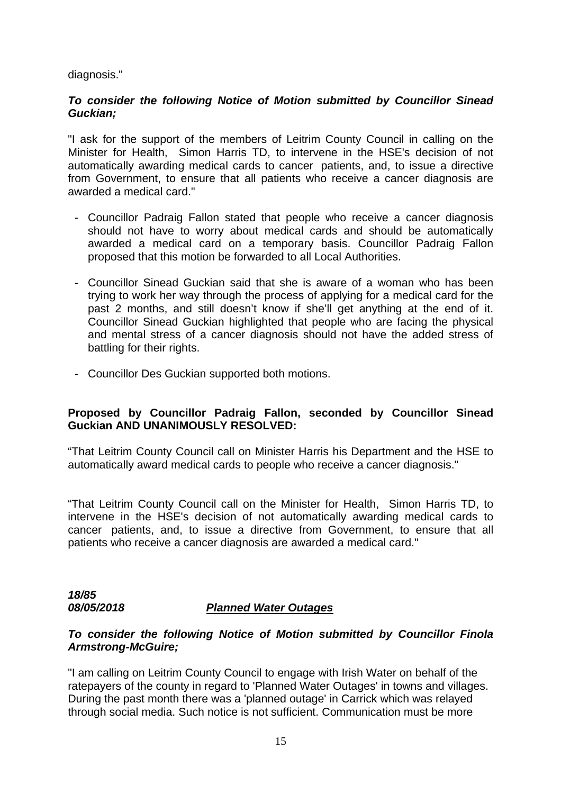diagnosis."

## *To consider the following Notice of Motion submitted by Councillor Sinead Guckian;*

"I ask for the support of the members of Leitrim County Council in calling on the Minister for Health, Simon Harris TD, to intervene in the HSE's decision of not automatically awarding medical cards to cancer patients, and, to issue a directive from Government, to ensure that all patients who receive a cancer diagnosis are awarded a medical card."

- Councillor Padraig Fallon stated that people who receive a cancer diagnosis should not have to worry about medical cards and should be automatically awarded a medical card on a temporary basis. Councillor Padraig Fallon proposed that this motion be forwarded to all Local Authorities.
- Councillor Sinead Guckian said that she is aware of a woman who has been trying to work her way through the process of applying for a medical card for the past 2 months, and still doesn't know if she'll get anything at the end of it. Councillor Sinead Guckian highlighted that people who are facing the physical and mental stress of a cancer diagnosis should not have the added stress of battling for their rights.
- Councillor Des Guckian supported both motions.

## **Proposed by Councillor Padraig Fallon, seconded by Councillor Sinead Guckian AND UNANIMOUSLY RESOLVED:**

"That Leitrim County Council call on Minister Harris his Department and the HSE to automatically award medical cards to people who receive a cancer diagnosis."

"That Leitrim County Council call on the Minister for Health, Simon Harris TD, to intervene in the HSE's decision of not automatically awarding medical cards to cancer patients, and, to issue a directive from Government, to ensure that all patients who receive a cancer diagnosis are awarded a medical card."

*18/85* 

## *08/05/2018 Planned Water Outages*

## *To consider the following Notice of Motion submitted by Councillor Finola Armstrong-McGuire;*

"I am calling on Leitrim County Council to engage with Irish Water on behalf of the ratepayers of the county in regard to 'Planned Water Outages' in towns and villages. During the past month there was a 'planned outage' in Carrick which was relayed through social media. Such notice is not sufficient. Communication must be more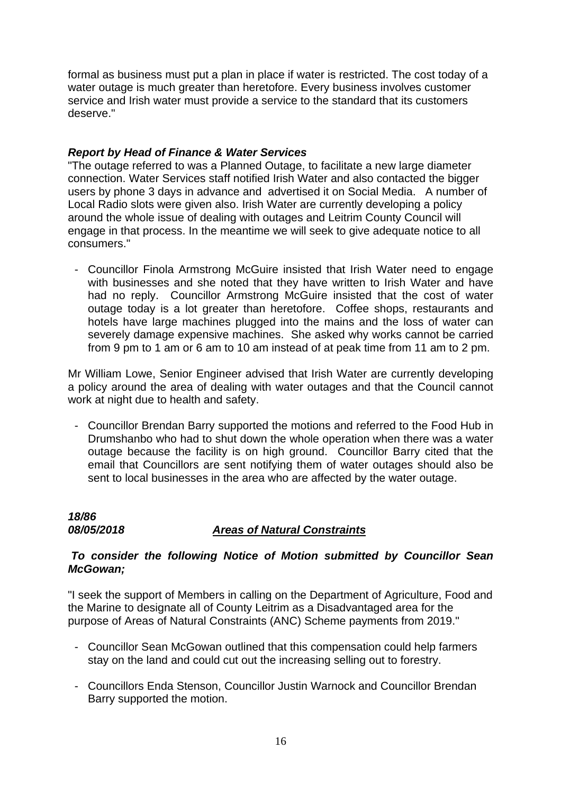formal as business must put a plan in place if water is restricted. The cost today of a water outage is much greater than heretofore. Every business involves customer service and Irish water must provide a service to the standard that its customers deserve."

## *Report by Head of Finance & Water Services*

"The outage referred to was a Planned Outage, to facilitate a new large diameter connection. Water Services staff notified Irish Water and also contacted the bigger users by phone 3 days in advance and advertised it on Social Media. A number of Local Radio slots were given also. Irish Water are currently developing a policy around the whole issue of dealing with outages and Leitrim County Council will engage in that process. In the meantime we will seek to give adequate notice to all consumers."

- Councillor Finola Armstrong McGuire insisted that Irish Water need to engage with businesses and she noted that they have written to Irish Water and have had no reply. Councillor Armstrong McGuire insisted that the cost of water outage today is a lot greater than heretofore. Coffee shops, restaurants and hotels have large machines plugged into the mains and the loss of water can severely damage expensive machines. She asked why works cannot be carried from 9 pm to 1 am or 6 am to 10 am instead of at peak time from 11 am to 2 pm.

Mr William Lowe, Senior Engineer advised that Irish Water are currently developing a policy around the area of dealing with water outages and that the Council cannot work at night due to health and safety.

- Councillor Brendan Barry supported the motions and referred to the Food Hub in Drumshanbo who had to shut down the whole operation when there was a water outage because the facility is on high ground. Councillor Barry cited that the email that Councillors are sent notifying them of water outages should also be sent to local businesses in the area who are affected by the water outage.

## *18/86 08/05/2018 Areas of Natural Constraints*

## *To consider the following Notice of Motion submitted by Councillor Sean McGowan;*

"I seek the support of Members in calling on the Department of Agriculture, Food and the Marine to designate all of County Leitrim as a Disadvantaged area for the purpose of Areas of Natural Constraints (ANC) Scheme payments from 2019."

- Councillor Sean McGowan outlined that this compensation could help farmers stay on the land and could cut out the increasing selling out to forestry.
- Councillors Enda Stenson, Councillor Justin Warnock and Councillor Brendan Barry supported the motion.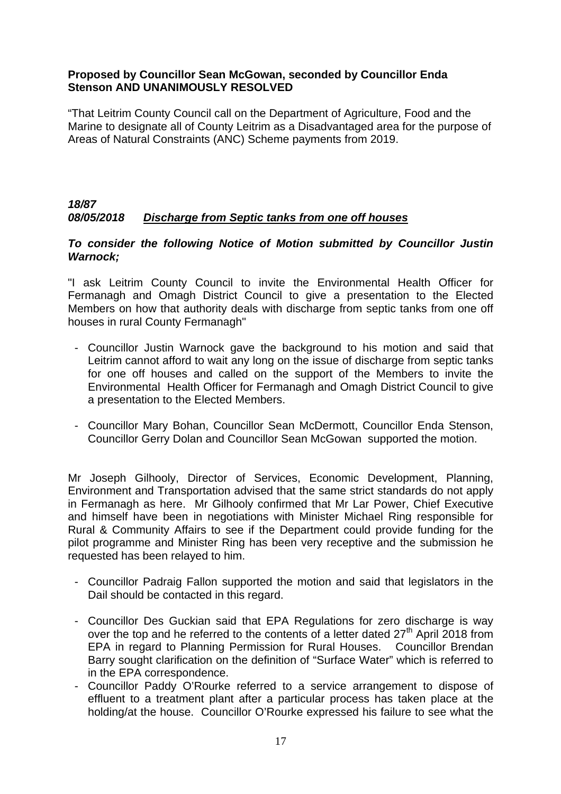## **Proposed by Councillor Sean McGowan, seconded by Councillor Enda Stenson AND UNANIMOUSLY RESOLVED**

"That Leitrim County Council call on the Department of Agriculture, Food and the Marine to designate all of County Leitrim as a Disadvantaged area for the purpose of Areas of Natural Constraints (ANC) Scheme payments from 2019.

## *18/87 08/05/2018 Discharge from Septic tanks from one off houses*

## *To consider the following Notice of Motion submitted by Councillor Justin Warnock;*

"I ask Leitrim County Council to invite the Environmental Health Officer for Fermanagh and Omagh District Council to give a presentation to the Elected Members on how that authority deals with discharge from septic tanks from one off houses in rural County Fermanagh"

- Councillor Justin Warnock gave the background to his motion and said that Leitrim cannot afford to wait any long on the issue of discharge from septic tanks for one off houses and called on the support of the Members to invite the Environmental Health Officer for Fermanagh and Omagh District Council to give a presentation to the Elected Members.
- Councillor Mary Bohan, Councillor Sean McDermott, Councillor Enda Stenson, Councillor Gerry Dolan and Councillor Sean McGowan supported the motion.

Mr Joseph Gilhooly, Director of Services, Economic Development, Planning, Environment and Transportation advised that the same strict standards do not apply in Fermanagh as here. Mr Gilhooly confirmed that Mr Lar Power, Chief Executive and himself have been in negotiations with Minister Michael Ring responsible for Rural & Community Affairs to see if the Department could provide funding for the pilot programme and Minister Ring has been very receptive and the submission he requested has been relayed to him.

- Councillor Padraig Fallon supported the motion and said that legislators in the Dail should be contacted in this regard.
- Councillor Des Guckian said that EPA Regulations for zero discharge is way over the top and he referred to the contents of a letter dated  $27<sup>th</sup>$  April 2018 from EPA in regard to Planning Permission for Rural Houses. Councillor Brendan Barry sought clarification on the definition of "Surface Water" which is referred to in the EPA correspondence.
- Councillor Paddy O'Rourke referred to a service arrangement to dispose of effluent to a treatment plant after a particular process has taken place at the holding/at the house. Councillor O'Rourke expressed his failure to see what the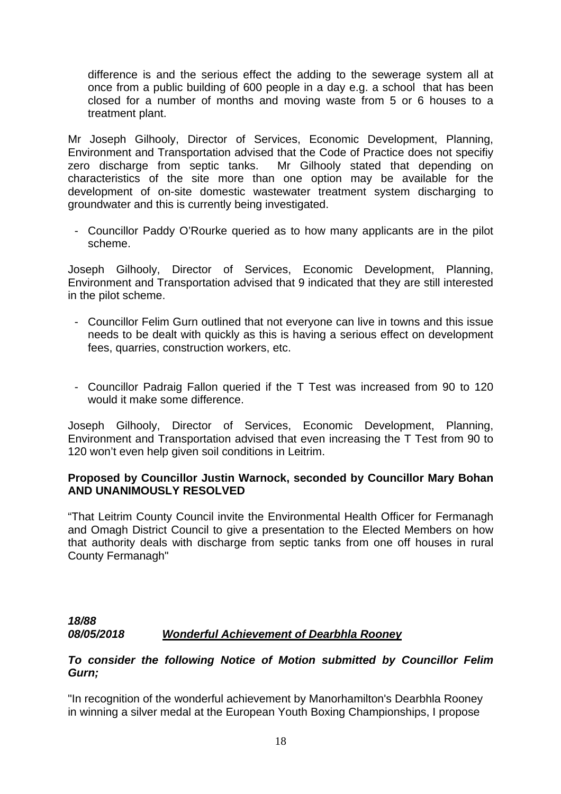difference is and the serious effect the adding to the sewerage system all at once from a public building of 600 people in a day e.g. a school that has been closed for a number of months and moving waste from 5 or 6 houses to a treatment plant.

Mr Joseph Gilhooly, Director of Services, Economic Development, Planning, Environment and Transportation advised that the Code of Practice does not specifiy zero discharge from septic tanks. Mr Gilhooly stated that depending on characteristics of the site more than one option may be available for the development of on-site domestic wastewater treatment system discharging to groundwater and this is currently being investigated.

- Councillor Paddy O'Rourke queried as to how many applicants are in the pilot scheme.

Joseph Gilhooly, Director of Services, Economic Development, Planning, Environment and Transportation advised that 9 indicated that they are still interested in the pilot scheme.

- Councillor Felim Gurn outlined that not everyone can live in towns and this issue needs to be dealt with quickly as this is having a serious effect on development fees, quarries, construction workers, etc.
- Councillor Padraig Fallon queried if the T Test was increased from 90 to 120 would it make some difference.

Joseph Gilhooly, Director of Services, Economic Development, Planning, Environment and Transportation advised that even increasing the T Test from 90 to 120 won't even help given soil conditions in Leitrim.

## **Proposed by Councillor Justin Warnock, seconded by Councillor Mary Bohan AND UNANIMOUSLY RESOLVED**

"That Leitrim County Council invite the Environmental Health Officer for Fermanagh and Omagh District Council to give a presentation to the Elected Members on how that authority deals with discharge from septic tanks from one off houses in rural County Fermanagh"

## *18/88 08/05/2018 Wonderful Achievement of Dearbhla Rooney*

#### *To consider the following Notice of Motion submitted by Councillor Felim Gurn;*

"In recognition of the wonderful achievement by Manorhamilton's Dearbhla Rooney in winning a silver medal at the European Youth Boxing Championships, I propose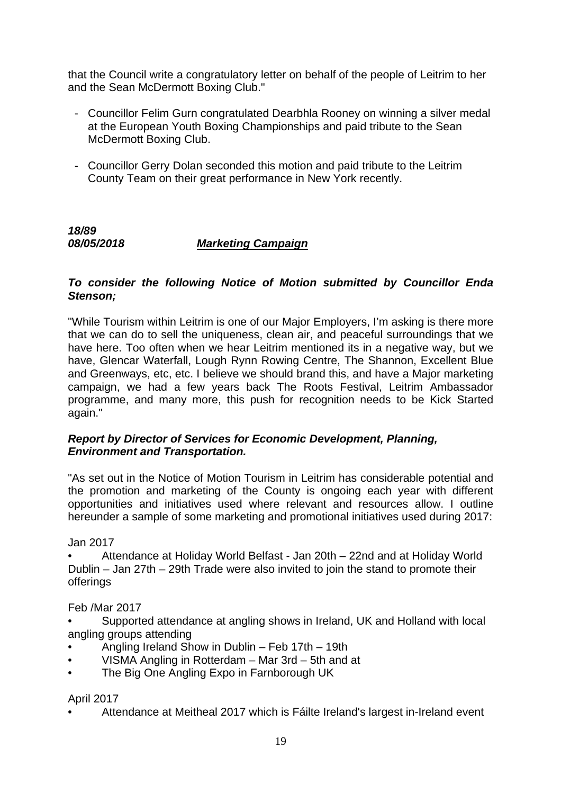that the Council write a congratulatory letter on behalf of the people of Leitrim to her and the Sean McDermott Boxing Club."

- Councillor Felim Gurn congratulated Dearbhla Rooney on winning a silver medal at the European Youth Boxing Championships and paid tribute to the Sean McDermott Boxing Club.
- Councillor Gerry Dolan seconded this motion and paid tribute to the Leitrim County Team on their great performance in New York recently.

*18/89 08/05/2018 Marketing Campaign*

## *To consider the following Notice of Motion submitted by Councillor Enda Stenson;*

"While Tourism within Leitrim is one of our Major Employers, I'm asking is there more that we can do to sell the uniqueness, clean air, and peaceful surroundings that we have here. Too often when we hear Leitrim mentioned its in a negative way, but we have, Glencar Waterfall, Lough Rynn Rowing Centre, The Shannon, Excellent Blue and Greenways, etc, etc. I believe we should brand this, and have a Major marketing campaign, we had a few years back The Roots Festival, Leitrim Ambassador programme, and many more, this push for recognition needs to be Kick Started again."

## *Report by Director of Services for Economic Development, Planning, Environment and Transportation.*

"As set out in the Notice of Motion Tourism in Leitrim has considerable potential and the promotion and marketing of the County is ongoing each year with different opportunities and initiatives used where relevant and resources allow. I outline hereunder a sample of some marketing and promotional initiatives used during 2017:

Jan 2017

• Attendance at Holiday World Belfast - Jan 20th – 22nd and at Holiday World Dublin – Jan 27th – 29th Trade were also invited to join the stand to promote their offerings

Feb /Mar 2017

• Supported attendance at angling shows in Ireland, UK and Holland with local angling groups attending

- Angling Ireland Show in Dublin Feb 17th 19th
- VISMA Angling in Rotterdam Mar 3rd 5th and at
- The Big One Angling Expo in Farnborough UK

April 2017

• Attendance at Meitheal 2017 which is Fáilte Ireland's largest in-Ireland event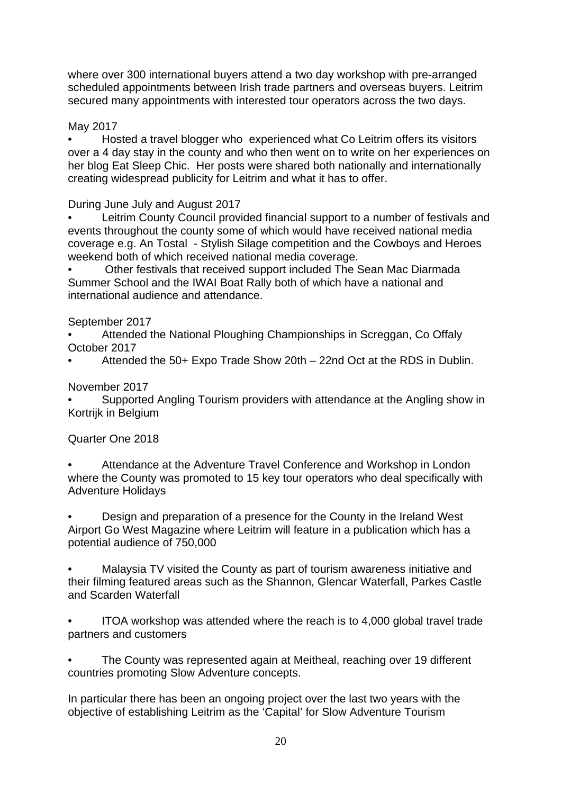where over 300 international buyers attend a two day workshop with pre-arranged scheduled appointments between Irish trade partners and overseas buyers. Leitrim secured many appointments with interested tour operators across the two days.

May 2017

• Hosted a travel blogger who experienced what Co Leitrim offers its visitors over a 4 day stay in the county and who then went on to write on her experiences on her blog Eat Sleep Chic. Her posts were shared both nationally and internationally creating widespread publicity for Leitrim and what it has to offer.

During June July and August 2017

• Leitrim County Council provided financial support to a number of festivals and events throughout the county some of which would have received national media coverage e.g. An Tostal - Stylish Silage competition and the Cowboys and Heroes weekend both of which received national media coverage.

• Other festivals that received support included The Sean Mac Diarmada Summer School and the IWAI Boat Rally both of which have a national and international audience and attendance.

September 2017

• Attended the National Ploughing Championships in Screggan, Co Offaly October 2017

• Attended the 50+ Expo Trade Show 20th – 22nd Oct at the RDS in Dublin.

November 2017

• Supported Angling Tourism providers with attendance at the Angling show in Kortrijk in Belgium

Quarter One 2018

• Attendance at the Adventure Travel Conference and Workshop in London where the County was promoted to 15 key tour operators who deal specifically with Adventure Holidays

• Design and preparation of a presence for the County in the Ireland West Airport Go West Magazine where Leitrim will feature in a publication which has a potential audience of 750,000

• Malaysia TV visited the County as part of tourism awareness initiative and their filming featured areas such as the Shannon, Glencar Waterfall, Parkes Castle and Scarden Waterfall

• ITOA workshop was attended where the reach is to 4,000 global travel trade partners and customers

The County was represented again at Meitheal, reaching over 19 different countries promoting Slow Adventure concepts.

In particular there has been an ongoing project over the last two years with the objective of establishing Leitrim as the 'Capital' for Slow Adventure Tourism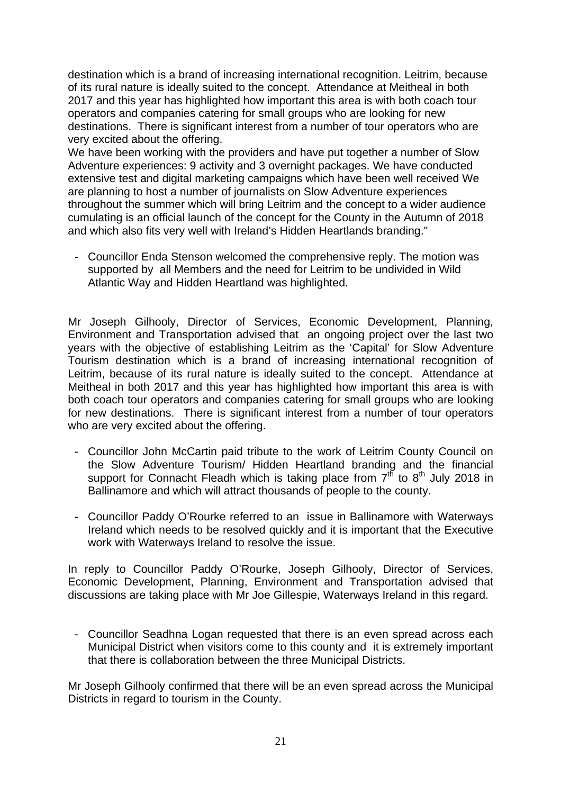destination which is a brand of increasing international recognition. Leitrim, because of its rural nature is ideally suited to the concept. Attendance at Meitheal in both 2017 and this year has highlighted how important this area is with both coach tour operators and companies catering for small groups who are looking for new destinations. There is significant interest from a number of tour operators who are very excited about the offering.

We have been working with the providers and have put together a number of Slow Adventure experiences: 9 activity and 3 overnight packages. We have conducted extensive test and digital marketing campaigns which have been well received We are planning to host a number of journalists on Slow Adventure experiences throughout the summer which will bring Leitrim and the concept to a wider audience cumulating is an official launch of the concept for the County in the Autumn of 2018 and which also fits very well with Ireland's Hidden Heartlands branding."

- Councillor Enda Stenson welcomed the comprehensive reply. The motion was supported by all Members and the need for Leitrim to be undivided in Wild Atlantic Way and Hidden Heartland was highlighted.

Mr Joseph Gilhooly, Director of Services, Economic Development, Planning, Environment and Transportation advised that an ongoing project over the last two years with the objective of establishing Leitrim as the 'Capital' for Slow Adventure Tourism destination which is a brand of increasing international recognition of Leitrim, because of its rural nature is ideally suited to the concept. Attendance at Meitheal in both 2017 and this year has highlighted how important this area is with both coach tour operators and companies catering for small groups who are looking for new destinations. There is significant interest from a number of tour operators who are very excited about the offering.

- Councillor John McCartin paid tribute to the work of Leitrim County Council on the Slow Adventure Tourism/ Hidden Heartland branding and the financial support for Connacht Fleadh which is taking place from  $7<sup>th</sup>$  to 8<sup>th</sup> July 2018 in Ballinamore and which will attract thousands of people to the county.
- Councillor Paddy O'Rourke referred to an issue in Ballinamore with Waterways Ireland which needs to be resolved quickly and it is important that the Executive work with Waterways Ireland to resolve the issue.

In reply to Councillor Paddy O'Rourke, Joseph Gilhooly, Director of Services, Economic Development, Planning, Environment and Transportation advised that discussions are taking place with Mr Joe Gillespie, Waterways Ireland in this regard.

Councillor Seadhna Logan requested that there is an even spread across each Municipal District when visitors come to this county and it is extremely important that there is collaboration between the three Municipal Districts.

Mr Joseph Gilhooly confirmed that there will be an even spread across the Municipal Districts in regard to tourism in the County.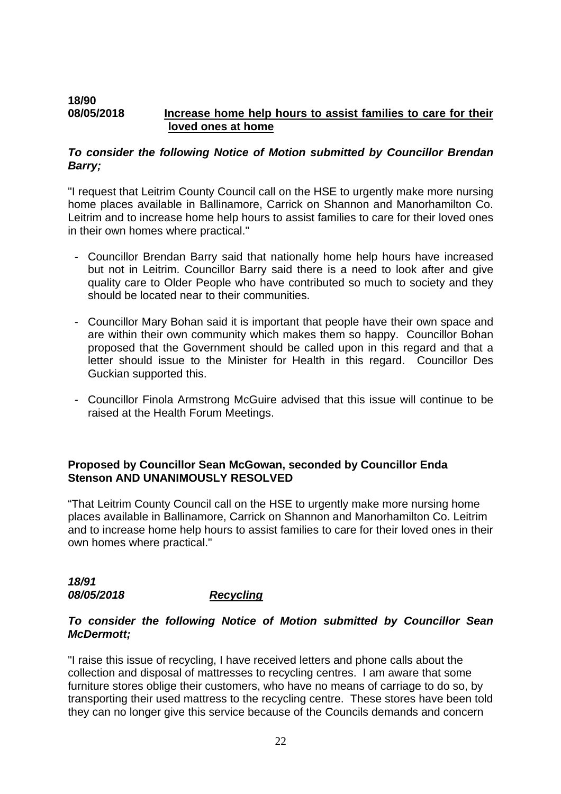#### **18/90 08/05/2018 Increase home help hours to assist families to care for their loved ones at home**

## *To consider the following Notice of Motion submitted by Councillor Brendan Barry;*

"I request that Leitrim County Council call on the HSE to urgently make more nursing home places available in Ballinamore, Carrick on Shannon and Manorhamilton Co. Leitrim and to increase home help hours to assist families to care for their loved ones in their own homes where practical."

- Councillor Brendan Barry said that nationally home help hours have increased but not in Leitrim. Councillor Barry said there is a need to look after and give quality care to Older People who have contributed so much to society and they should be located near to their communities.
- Councillor Mary Bohan said it is important that people have their own space and are within their own community which makes them so happy. Councillor Bohan proposed that the Government should be called upon in this regard and that a letter should issue to the Minister for Health in this regard. Councillor Des Guckian supported this.
- Councillor Finola Armstrong McGuire advised that this issue will continue to be raised at the Health Forum Meetings.

## **Proposed by Councillor Sean McGowan, seconded by Councillor Enda Stenson AND UNANIMOUSLY RESOLVED**

"That Leitrim County Council call on the HSE to urgently make more nursing home places available in Ballinamore, Carrick on Shannon and Manorhamilton Co. Leitrim and to increase home help hours to assist families to care for their loved ones in their own homes where practical."

## *18/91 08/05/2018 Recycling*

## *To consider the following Notice of Motion submitted by Councillor Sean McDermott;*

"I raise this issue of recycling, I have received letters and phone calls about the collection and disposal of mattresses to recycling centres. I am aware that some furniture stores oblige their customers, who have no means of carriage to do so, by transporting their used mattress to the recycling centre. These stores have been told they can no longer give this service because of the Councils demands and concern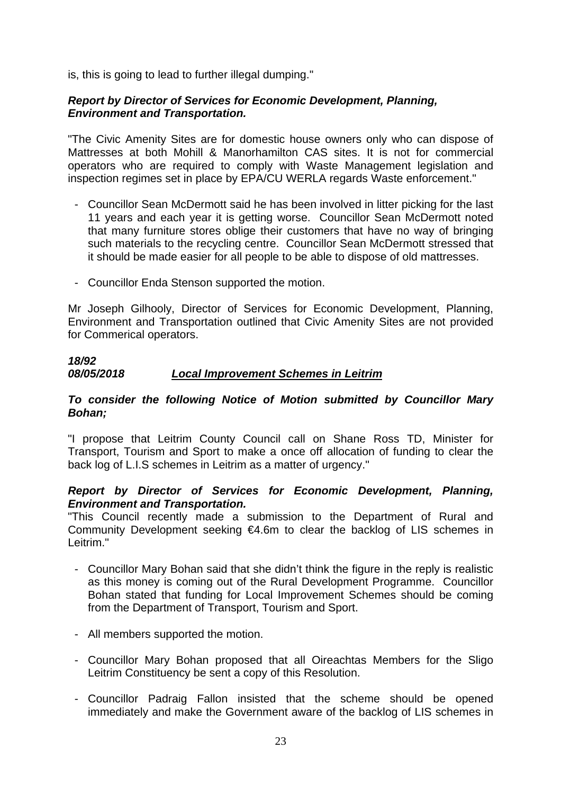is, this is going to lead to further illegal dumping."

## *Report by Director of Services for Economic Development, Planning, Environment and Transportation.*

"The Civic Amenity Sites are for domestic house owners only who can dispose of Mattresses at both Mohill & Manorhamilton CAS sites. It is not for commercial operators who are required to comply with Waste Management legislation and inspection regimes set in place by EPA/CU WERLA regards Waste enforcement."

- Councillor Sean McDermott said he has been involved in litter picking for the last 11 years and each year it is getting worse. Councillor Sean McDermott noted that many furniture stores oblige their customers that have no way of bringing such materials to the recycling centre. Councillor Sean McDermott stressed that it should be made easier for all people to be able to dispose of old mattresses.
- Councillor Enda Stenson supported the motion.

Mr Joseph Gilhooly, Director of Services for Economic Development, Planning, Environment and Transportation outlined that Civic Amenity Sites are not provided for Commerical operators.

## *18/92 08/05/2018 Local Improvement Schemes in Leitrim*

## *To consider the following Notice of Motion submitted by Councillor Mary Bohan;*

"I propose that Leitrim County Council call on Shane Ross TD, Minister for Transport, Tourism and Sport to make a once off allocation of funding to clear the back log of L.I.S schemes in Leitrim as a matter of urgency."

## *Report by Director of Services for Economic Development, Planning, Environment and Transportation.*

"This Council recently made a submission to the Department of Rural and Community Development seeking €4.6m to clear the backlog of LIS schemes in Leitrim."

- Councillor Mary Bohan said that she didn't think the figure in the reply is realistic as this money is coming out of the Rural Development Programme. Councillor Bohan stated that funding for Local Improvement Schemes should be coming from the Department of Transport, Tourism and Sport.
- All members supported the motion.
- Councillor Mary Bohan proposed that all Oireachtas Members for the Sligo Leitrim Constituency be sent a copy of this Resolution.
- Councillor Padraig Fallon insisted that the scheme should be opened immediately and make the Government aware of the backlog of LIS schemes in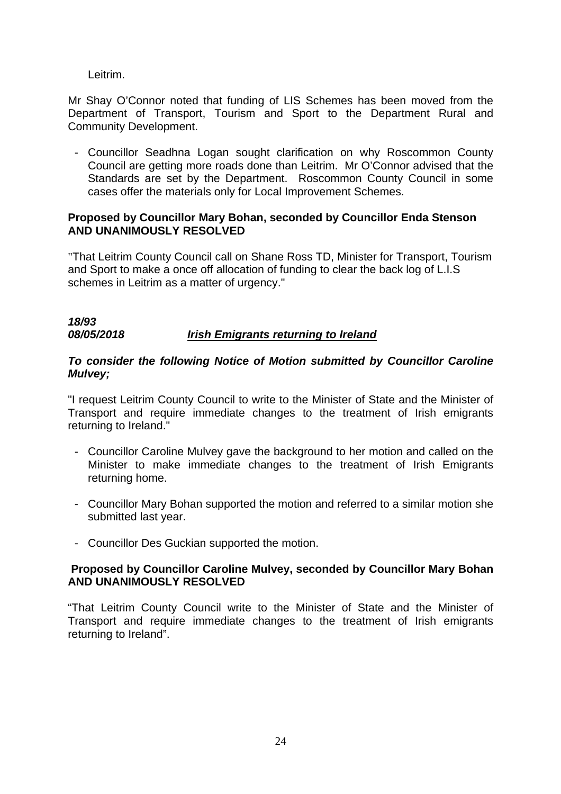Leitrim.

Mr Shay O'Connor noted that funding of LIS Schemes has been moved from the Department of Transport, Tourism and Sport to the Department Rural and Community Development.

- Councillor Seadhna Logan sought clarification on why Roscommon County Council are getting more roads done than Leitrim. Mr O'Connor advised that the Standards are set by the Department. Roscommon County Council in some cases offer the materials only for Local Improvement Schemes.

## **Proposed by Councillor Mary Bohan, seconded by Councillor Enda Stenson AND UNANIMOUSLY RESOLVED**

"That Leitrim County Council call on Shane Ross TD, Minister for Transport, Tourism and Sport to make a once off allocation of funding to clear the back log of L.I.S schemes in Leitrim as a matter of urgency."

## *18/93 08/05/2018 Irish Emigrants returning to Ireland*

## *To consider the following Notice of Motion submitted by Councillor Caroline Mulvey;*

"I request Leitrim County Council to write to the Minister of State and the Minister of Transport and require immediate changes to the treatment of Irish emigrants returning to Ireland."

- Councillor Caroline Mulvey gave the background to her motion and called on the Minister to make immediate changes to the treatment of Irish Emigrants returning home.
- Councillor Mary Bohan supported the motion and referred to a similar motion she submitted last year.
- Councillor Des Guckian supported the motion.

## **Proposed by Councillor Caroline Mulvey, seconded by Councillor Mary Bohan AND UNANIMOUSLY RESOLVED**

"That Leitrim County Council write to the Minister of State and the Minister of Transport and require immediate changes to the treatment of Irish emigrants returning to Ireland".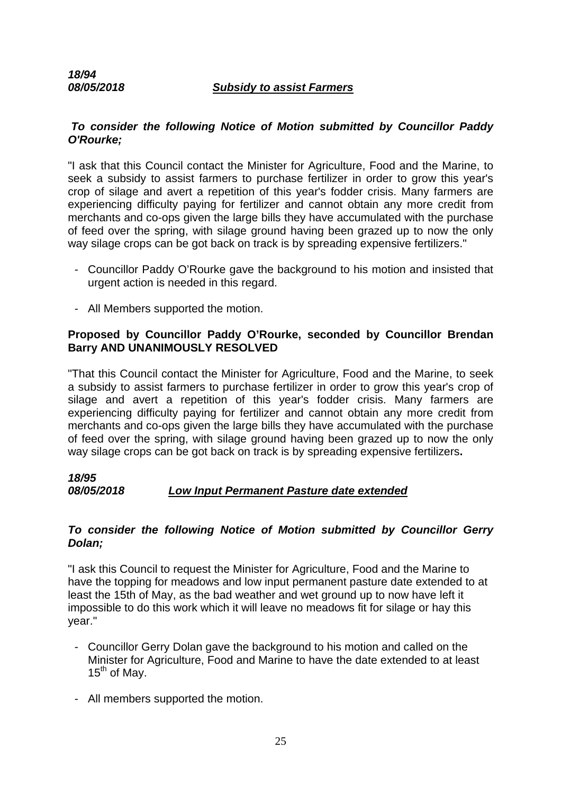## *08/05/2018 Subsidy to assist Farmers*

## *To consider the following Notice of Motion submitted by Councillor Paddy O'Rourke;*

"I ask that this Council contact the Minister for Agriculture, Food and the Marine, to seek a subsidy to assist farmers to purchase fertilizer in order to grow this year's crop of silage and avert a repetition of this year's fodder crisis. Many farmers are experiencing difficulty paying for fertilizer and cannot obtain any more credit from merchants and co-ops given the large bills they have accumulated with the purchase of feed over the spring, with silage ground having been grazed up to now the only way silage crops can be got back on track is by spreading expensive fertilizers."

- Councillor Paddy O'Rourke gave the background to his motion and insisted that urgent action is needed in this regard.
- All Members supported the motion.

## **Proposed by Councillor Paddy O'Rourke, seconded by Councillor Brendan Barry AND UNANIMOUSLY RESOLVED**

"That this Council contact the Minister for Agriculture, Food and the Marine, to seek a subsidy to assist farmers to purchase fertilizer in order to grow this year's crop of silage and avert a repetition of this year's fodder crisis. Many farmers are experiencing difficulty paying for fertilizer and cannot obtain any more credit from merchants and co-ops given the large bills they have accumulated with the purchase of feed over the spring, with silage ground having been grazed up to now the only way silage crops can be got back on track is by spreading expensive fertilizers**.** 

## *18/95 08/05/2018 Low Input Permanent Pasture date extended*

#### *To consider the following Notice of Motion submitted by Councillor Gerry Dolan;*

"I ask this Council to request the Minister for Agriculture, Food and the Marine to have the topping for meadows and low input permanent pasture date extended to at least the 15th of May, as the bad weather and wet ground up to now have left it impossible to do this work which it will leave no meadows fit for silage or hay this year."

- Councillor Gerry Dolan gave the background to his motion and called on the Minister for Agriculture, Food and Marine to have the date extended to at least  $15^{th}$  of Mav.
- All members supported the motion.